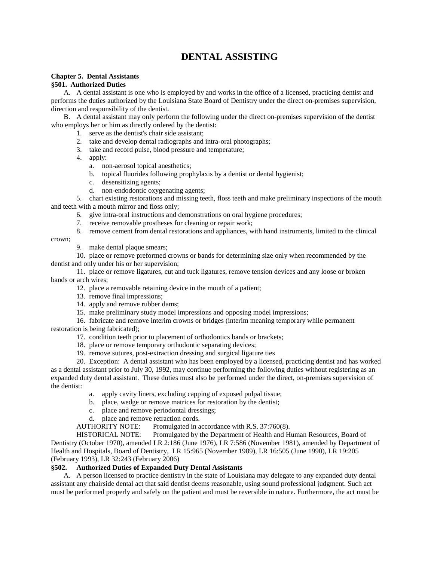# **DENTAL ASSISTING**

# **Chapter 5. Dental Assistants**

## **§501. Authorized Duties**

A. A dental assistant is one who is employed by and works in the office of a licensed, practicing dentist and performs the duties authorized by the Louisiana State Board of Dentistry under the direct on-premises supervision, direction and responsibility of the dentist.

B. A dental assistant may only perform the following under the direct on-premises supervision of the dentist who employs her or him as directly ordered by the dentist:

- 1. serve as the dentist's chair side assistant;
- 2. take and develop dental radiographs and intra-oral photographs;
- 3. take and record pulse, blood pressure and temperature;
- 4. apply:
	- a. non-aerosol topical anesthetics;
	- b. topical fluorides following prophylaxis by a dentist or dental hygienist;
	- c. desensitizing agents;
	- d. non-endodontic oxygenating agents;

5. chart existing restorations and missing teeth, floss teeth and make preliminary inspections of the mouth and teeth with a mouth mirror and floss only;

- 6. give intra-oral instructions and demonstrations on oral hygiene procedures;
- 7. receive removable prostheses for cleaning or repair work;
- 8. remove cement from dental restorations and appliances, with hand instruments, limited to the clinical

crown;

9. make dental plaque smears;

10. place or remove preformed crowns or bands for determining size only when recommended by the dentist and only under his or her supervision;

11. place or remove ligatures, cut and tuck ligatures, remove tension devices and any loose or broken bands or arch wires;

- 12. place a removable retaining device in the mouth of a patient;
- 13. remove final impressions;
- 14. apply and remove rubber dams;
- 15. make preliminary study model impressions and opposing model impressions;

16. fabricate and remove interim crowns or bridges (interim meaning temporary while permanent restoration is being fabricated);

- 17. condition teeth prior to placement of orthodontics bands or brackets;
- 18. place or remove temporary orthodontic separating devices;
- 19. remove sutures, post-extraction dressing and surgical ligature ties

20. Exception: A dental assistant who has been employed by a licensed, practicing dentist and has worked as a dental assistant prior to July 30, 1992, may continue performing the following duties without registering as an expanded duty dental assistant. These duties must also be performed under the direct, on-premises supervision of the dentist:

- a. apply cavity liners, excluding capping of exposed pulpal tissue;
- b. place, wedge or remove matrices for restoration by the dentist;
- c. place and remove periodontal dressings;
- d. place and remove retraction cords.

AUTHORITY NOTE: Promulgated in accordance with R.S. 37:760(8).

HISTORICAL NOTE: Promulgated by the Department of Health and Human Resources, Board of Dentistry (October 1970), amended LR 2:186 (June 1976), LR 7:586 (November 1981), amended by Department of Health and Hospitals, Board of Dentistry, LR 15:965 (November 1989), LR 16:505 (June 1990), LR 19:205 (February 1993), LR 32:243 (February 2006)

## **§502. Authorized Duties of Expanded Duty Dental Assistants**

A. A person licensed to practice dentistry in the state of Louisiana may delegate to any expanded duty dental assistant any chairside dental act that said dentist deems reasonable, using sound professional judgment. Such act must be performed properly and safely on the patient and must be reversible in nature. Furthermore, the act must be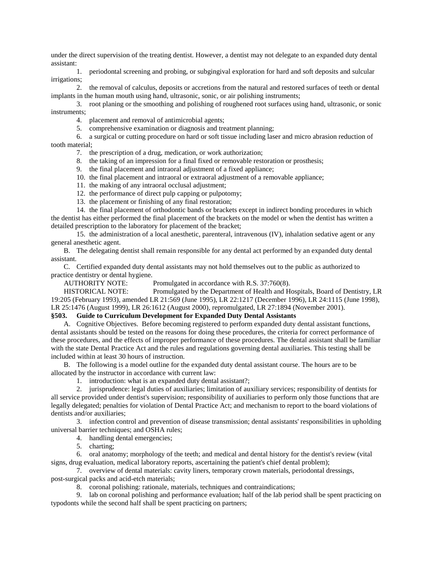under the direct supervision of the treating dentist. However, a dentist may not delegate to an expanded duty dental assistant:

1. periodontal screening and probing, or subgingival exploration for hard and soft deposits and sulcular irrigations;

2. the removal of calculus, deposits or accretions from the natural and restored surfaces of teeth or dental implants in the human mouth using hand, ultrasonic, sonic, or air polishing instruments;

3. root planing or the smoothing and polishing of roughened root surfaces using hand, ultrasonic, or sonic instruments;

4. placement and removal of antimicrobial agents;

5. comprehensive examination or diagnosis and treatment planning;

6. a surgical or cutting procedure on hard or soft tissue including laser and micro abrasion reduction of tooth material;

7. the prescription of a drug, medication, or work authorization;

8. the taking of an impression for a final fixed or removable restoration or prosthesis;

9. the final placement and intraoral adjustment of a fixed appliance;

10. the final placement and intraoral or extraoral adjustment of a removable appliance;

11. the making of any intraoral occlusal adjustment;

12. the performance of direct pulp capping or pulpotomy;

13. the placement or finishing of any final restoration;

14. the final placement of orthodontic bands or brackets except in indirect bonding procedures in which the dentist has either performed the final placement of the brackets on the model or when the dentist has written a detailed prescription to the laboratory for placement of the bracket;

15. the administration of a local anesthetic, parenteral, intravenous (IV), inhalation sedative agent or any general anesthetic agent.

B. The delegating dentist shall remain responsible for any dental act performed by an expanded duty dental assistant.

C. Certified expanded duty dental assistants may not hold themselves out to the public as authorized to practice dentistry or dental hygiene.

AUTHORITY NOTE: Promulgated in accordance with R.S. 37:760(8).

HISTORICAL NOTE: Promulgated by the Department of Health and Hospitals, Board of Dentistry, LR 19:205 (February 1993), amended LR 21:569 (June 1995), LR 22:1217 (December 1996), LR 24:1115 (June 1998), LR 25:1476 (August 1999), LR 26:1612 (August 2000), repromulgated, LR 27:1894 (November 2001).

# **§503. Guide to Curriculum Development for Expanded Duty Dental Assistants**

A. Cognitive Objectives. Before becoming registered to perform expanded duty dental assistant functions, dental assistants should be tested on the reasons for doing these procedures, the criteria for correct performance of these procedures, and the effects of improper performance of these procedures. The dental assistant shall be familiar with the state Dental Practice Act and the rules and regulations governing dental auxiliaries. This testing shall be included within at least 30 hours of instruction.

B. The following is a model outline for the expanded duty dental assistant course. The hours are to be allocated by the instructor in accordance with current law:

1. introduction: what is an expanded duty dental assistant?;

2. jurisprudence: legal duties of auxiliaries; limitation of auxiliary services; responsibility of dentists for all service provided under dentist's supervision; responsibility of auxiliaries to perform only those functions that are legally delegated; penalties for violation of Dental Practice Act; and mechanism to report to the board violations of dentists and/or auxiliaries;

3. infection control and prevention of disease transmission; dental assistants' responsibilities in upholding universal barrier techniques; and OSHA rules;

4. handling dental emergencies;

5. charting;

6. oral anatomy; morphology of the teeth; and medical and dental history for the dentist's review (vital signs, drug evaluation, medical laboratory reports, ascertaining the patient's chief dental problem);

7. overview of dental materials: cavity liners, temporary crown materials, periodontal dressings, post-surgical packs and acid-etch materials;

8. coronal polishing: rationale, materials, techniques and contraindications;

9. lab on coronal polishing and performance evaluation; half of the lab period shall be spent practicing on typodonts while the second half shall be spent practicing on partners;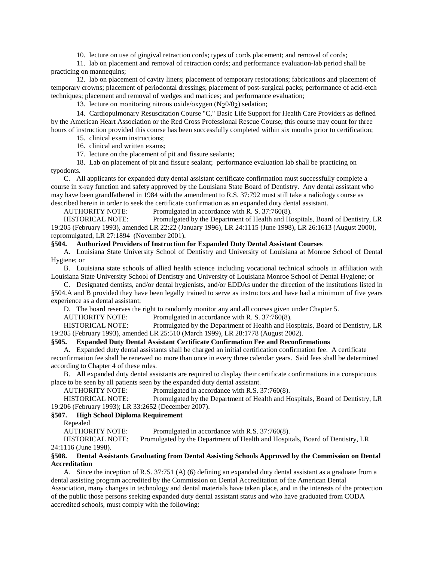10. lecture on use of gingival retraction cords; types of cords placement; and removal of cords;

11. lab on placement and removal of retraction cords; and performance evaluation-lab period shall be practicing on mannequins;

12. lab on placement of cavity liners; placement of temporary restorations; fabrications and placement of temporary crowns; placement of periodontal dressings; placement of post-surgical packs; performance of acid-etch techniques; placement and removal of wedges and matrices; and performance evaluation;

13. lecture on monitoring nitrous oxide/oxygen  $(N<sub>2</sub>0/0<sub>2</sub>)$  sedation;

14. Cardiopulmonary Resuscitation Course "C," Basic Life Support for Health Care Providers as defined by the American Heart Association or the Red Cross Professional Rescue Course; this course may count for three hours of instruction provided this course has been successfully completed within six months prior to certification;

15. clinical exam instructions;

16. clinical and written exams;

17. lecture on the placement of pit and fissure sealants;

18. Lab on placement of pit and fissure sealant; performance evaluation lab shall be practicing on typodonts.

C. All applicants for expanded duty dental assistant certificate confirmation must successfully complete a course in x-ray function and safety approved by the Louisiana State Board of Dentistry. Any dental assistant who may have been grandfathered in 1984 with the amendment to R.S. 37:792 must still take a radiology course as described herein in order to seek the certificate confirmation as an expanded duty dental assistant.

AUTHORITY NOTE: Promulgated in accordance with R. S. 37:760(8).

HISTORICAL NOTE: Promulgated by the Department of Health and Hospitals, Board of Dentistry, LR 19:205 (February 1993), amended LR 22:22 (January 1996), LR 24:1115 (June 1998), LR 26:1613 (August 2000), repromulgated, LR 27:1894 (November 2001).

## **§504. Authorized Providers of Instruction for Expanded Duty Dental Assistant Courses**

A. Louisiana State University School of Dentistry and University of Louisiana at Monroe School of Dental Hygiene; or

B. Louisiana state schools of allied health science including vocational technical schools in affiliation with Louisiana State University School of Dentistry and University of Louisiana Monroe School of Dental Hygiene; or

C. Designated dentists, and/or dental hygienists, and/or EDDAs under the direction of the institutions listed in §504.A and B provided they have been legally trained to serve as instructors and have had a minimum of five years experience as a dental assistant;

D. The board reserves the right to randomly monitor any and all courses given under Chapter 5.

AUTHORITY NOTE: Promulgated in accordance with R. S. 37:760(8).

HISTORICAL NOTE: Promulgated by the Department of Health and Hospitals, Board of Dentistry, LR 19:205 (February 1993), amended LR 25:510 (March 1999), LR 28:1778 (August 2002).

#### **§505. Expanded Duty Dental Assistant Certificate Confirmation Fee and Reconfirmations**

A. Expanded duty dental assistants shall be charged an initial certification confirmation fee. A certificate reconfirmation fee shall be renewed no more than once in every three calendar years. Said fees shall be determined according to Chapter 4 of these rules.

B. All expanded duty dental assistants are required to display their certificate confirmations in a conspicuous place to be seen by all patients seen by the expanded duty dental assistant.

AUTHORITY NOTE: Promulgated in accordance with R.S. 37:760(8).<br>HISTORICAL NOTE: Promulgated by the Department of Health and H

Promulgated by the Department of Health and Hospitals, Board of Dentistry, LR 19:206 (February 1993); LR 33:2652 (December 2007).

#### **§507. High School Diploma Requirement**

Repealed

AUTHORITY NOTE: Promulgated in accordance with R.S. 37:760(8).<br>HISTORICAL NOTE: Promulgated by the Department of Health and Hospit Promulgated by the Department of Health and Hospitals, Board of Dentistry, LR 24:1116 (June 1998).

#### **§508. Dental Assistants Graduating from Dental Assisting Schools Approved by the Commission on Dental Accreditation**

A. Since the inception of R.S. 37:751 (A) (6) defining an expanded duty dental assistant as a graduate from a dental assisting program accredited by the Commission on Dental Accreditation of the American Dental Association, many changes in technology and dental materials have taken place, and in the interests of the protection of the public those persons seeking expanded duty dental assistant status and who have graduated from CODA accredited schools, must comply with the following: